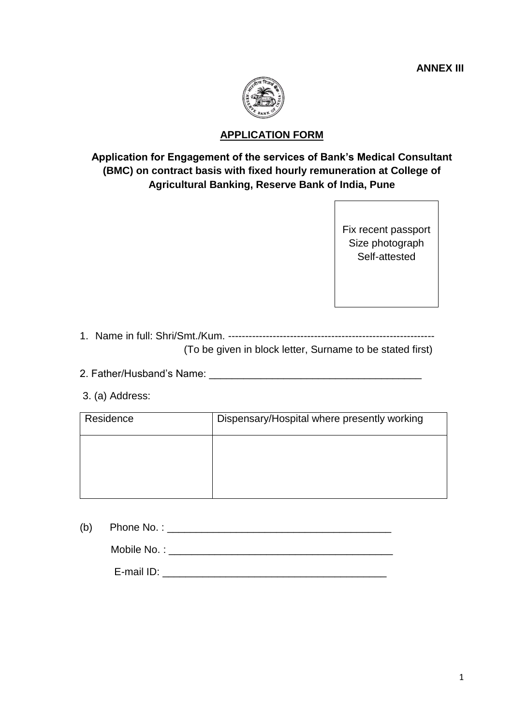

## **APPLICATION FORM**

## **Application for Engagement of the services of Bank's Medical Consultant (BMC) on contract basis with fixed hourly remuneration at College of Agricultural Banking, Reserve Bank of India, Pune**

Fix recent passport Size photograph Self-attested

- 1. Name in full: Shri/Smt./Kum. ------------------------------------------------------------ (To be given in block letter, Surname to be stated first)
- 2. Father/Husband's Name: \_\_\_\_\_\_\_\_\_\_\_\_\_\_\_\_\_\_\_\_\_\_\_\_\_\_\_\_\_\_\_\_\_\_\_\_\_
- 3. (a) Address:

| Residence | Dispensary/Hospital where presently working |  |  |
|-----------|---------------------------------------------|--|--|
|           |                                             |  |  |
|           |                                             |  |  |
|           |                                             |  |  |

(b) Phone No. :  $\blacksquare$ 

Mobile No. : \_\_\_\_\_\_\_\_\_\_\_\_\_\_\_\_\_\_\_\_\_\_\_\_\_\_\_\_\_\_\_\_\_\_\_\_\_\_\_

E-mail ID: \_\_\_\_\_\_\_\_\_\_\_\_\_\_\_\_\_\_\_\_\_\_\_\_\_\_\_\_\_\_\_\_\_\_\_\_\_\_\_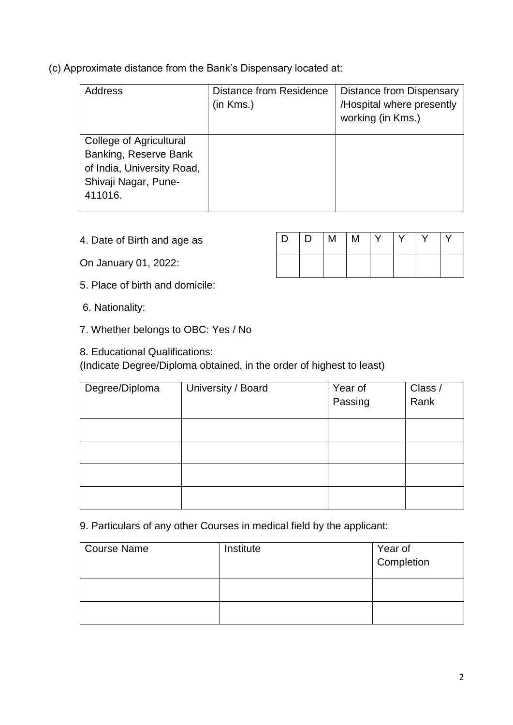(c) Approximate distance from the Bank's Dispensary located at:

| Address                    | <b>Distance from Residence</b><br>(in Kms.) | <b>Distance from Dispensary</b><br>/Hospital where presently |
|----------------------------|---------------------------------------------|--------------------------------------------------------------|
|                            |                                             | working (in Kms.)                                            |
| College of Agricultural    |                                             |                                                              |
| Banking, Reserve Bank      |                                             |                                                              |
| of India, University Road, |                                             |                                                              |
| Shivaji Nagar, Pune-       |                                             |                                                              |
| 411016.                    |                                             |                                                              |
|                            |                                             |                                                              |

4. Date of Birth and age as

On January 01, 2022:

- 5. Place of birth and domicile:
- 6. Nationality:
- 7. Whether belongs to OBC: Yes / No
- 8. Educational Qualifications:

(Indicate Degree/Diploma obtained, in the order of highest to least)

| Degree/Diploma | University / Board | Year of<br>Passing | Class /<br>Rank |
|----------------|--------------------|--------------------|-----------------|
|                |                    |                    |                 |
|                |                    |                    |                 |
|                |                    |                    |                 |
|                |                    |                    |                 |
|                |                    |                    |                 |

9. Particulars of any other Courses in medical field by the applicant:

| <b>Course Name</b> | Institute | Year of<br>Completion |
|--------------------|-----------|-----------------------|
|                    |           |                       |
|                    |           |                       |

| D. | $\begin{array}{c c c c c c} & D & M & M & Y \end{array}$ |  | $\mathsf{I} \mathsf{V}$ | $\sqrt{ }$ |  |
|----|----------------------------------------------------------|--|-------------------------|------------|--|
|    |                                                          |  |                         |            |  |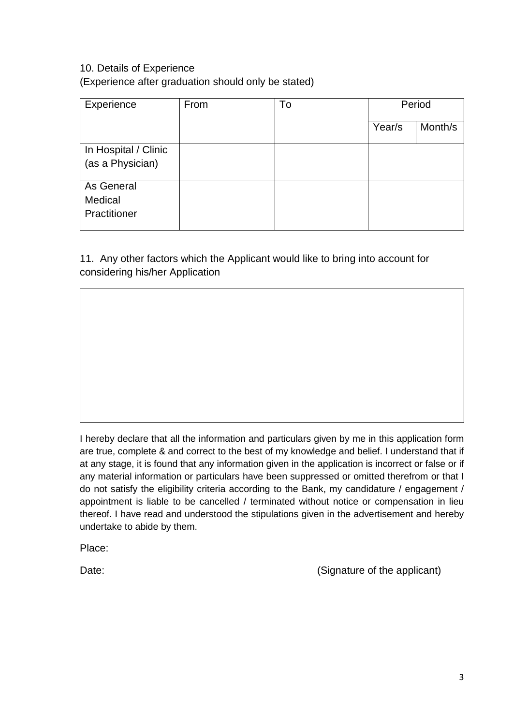## 10. Details of Experience

(Experience after graduation should only be stated)

| Experience                               | From | To | Period |         |
|------------------------------------------|------|----|--------|---------|
|                                          |      |    | Year/s | Month/s |
| In Hospital / Clinic<br>(as a Physician) |      |    |        |         |
| As General<br>Medical<br>Practitioner    |      |    |        |         |

11. Any other factors which the Applicant would like to bring into account for considering his/her Application

I hereby declare that all the information and particulars given by me in this application form are true, complete & and correct to the best of my knowledge and belief. I understand that if at any stage, it is found that any information given in the application is incorrect or false or if any material information or particulars have been suppressed or omitted therefrom or that I do not satisfy the eligibility criteria according to the Bank, my candidature / engagement / appointment is liable to be cancelled / terminated without notice or compensation in lieu thereof. I have read and understood the stipulations given in the advertisement and hereby undertake to abide by them.

Place:

Date: (Signature of the applicant)